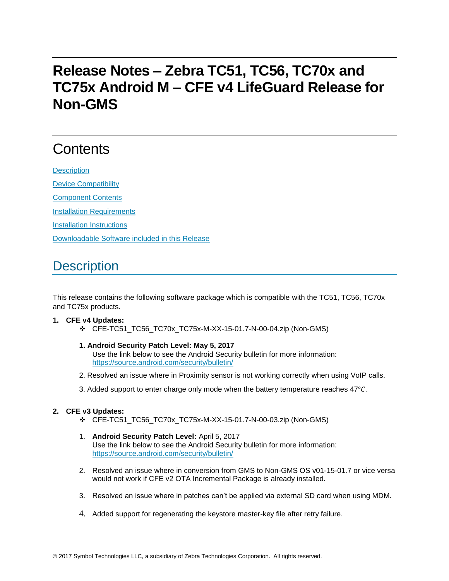# **Release Notes – Zebra TC51, TC56, TC70x and TC75x Android M – CFE v4 LifeGuard Release for Non-GMS**

# **Contents**

**[Description](#page-0-0)** [Device Compatibility](#page-1-0) [Component Contents](#page-1-1) [Installation Requirements](#page-1-2) [Installation Instructions](#page-2-0) [Downloadable Software included in this Release](#page-3-0)

## <span id="page-0-0"></span>**Description**

This release contains the following software package which is compatible with the TC51, TC56, TC70x and TC75x products.

#### **1. CFE v4 Updates:**

- CFE-TC51\_TC56\_TC70x\_TC75x-M-XX-15-01.7-N-00-04.zip (Non-GMS)
- **1. Android Security Patch Level: May 5, 2017** Use the link below to see the Android Security bulletin for more information: <https://source.android.com/security/bulletin/>
- 2. Resolved an issue where in Proximity sensor is not working correctly when using VoIP calls.
- 3. Added support to enter charge only mode when the battery temperature reaches  $47^{\circ}$ C.

#### **2. CFE v3 Updates:**

- CFE-TC51\_TC56\_TC70x\_TC75x-M-XX-15-01.7-N-00-03.zip (Non-GMS)
- 1. **Android Security Patch Level:** April 5, 2017 Use the link below to see the Android Security bulletin for more information: <https://source.android.com/security/bulletin/>
- 2. Resolved an issue where in conversion from GMS to Non-GMS OS v01-15-01.7 or vice versa would not work if CFE v2 OTA Incremental Package is already installed.
- 3. Resolved an issue where in patches can't be applied via external SD card when using MDM.
- 4. Added support for regenerating the keystore master-key file after retry failure.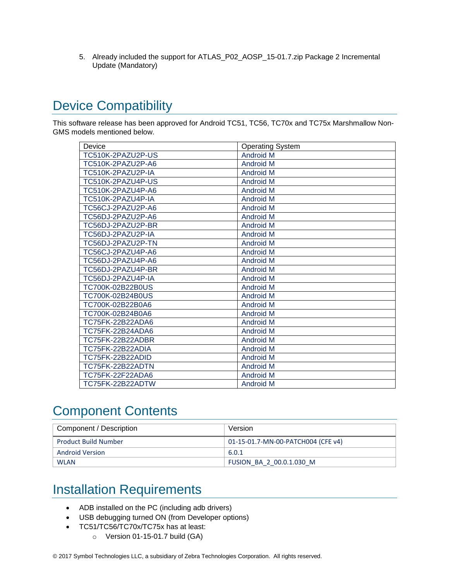5. Already included the support for ATLAS\_P02\_AOSP\_15-01.7.zip Package 2 Incremental Update (Mandatory)

## <span id="page-1-0"></span>Device Compatibility

This software release has been approved for Android TC51, TC56, TC70x and TC75x Marshmallow Non-GMS models mentioned below.

| Device            | <b>Operating System</b> |
|-------------------|-------------------------|
| TC510K-2PAZU2P-US | <b>Android M</b>        |
| TC510K-2PAZU2P-A6 | <b>Android M</b>        |
| TC510K-2PAZU2P-IA | <b>Android M</b>        |
| TC510K-2PAZU4P-US | <b>Android M</b>        |
| TC510K-2PAZU4P-A6 | <b>Android M</b>        |
| TC510K-2PAZU4P-IA | <b>Android M</b>        |
| TC56CJ-2PAZU2P-A6 | <b>Android M</b>        |
| TC56DJ-2PAZU2P-A6 | <b>Android M</b>        |
| TC56DJ-2PAZU2P-BR | <b>Android M</b>        |
| TC56DJ-2PAZU2P-IA | <b>Android M</b>        |
| TC56DJ-2PAZU2P-TN | <b>Android M</b>        |
| TC56CJ-2PAZU4P-A6 | <b>Android M</b>        |
| TC56DJ-2PAZU4P-A6 | <b>Android M</b>        |
| TC56DJ-2PAZU4P-BR | <b>Android M</b>        |
| TC56DJ-2PAZU4P-IA | <b>Android M</b>        |
| TC700K-02B22B0US  | <b>Android M</b>        |
| TC700K-02B24B0US  | <b>Android M</b>        |
| TC700K-02B22B0A6  | <b>Android M</b>        |
| TC700K-02B24B0A6  | <b>Android M</b>        |
| TC75FK-22B22ADA6  | <b>Android M</b>        |
| TC75FK-22B24ADA6  | <b>Android M</b>        |
| TC75FK-22B22ADBR  | <b>Android M</b>        |
| TC75FK-22B22ADIA  | <b>Android M</b>        |
| TC75FK-22B22ADID  | <b>Android M</b>        |
| TC75FK-22B22ADTN  | <b>Android M</b>        |
| TC75FK-22F22ADA6  | <b>Android M</b>        |
| TC75FK-22B22ADTW  | <b>Android M</b>        |

## <span id="page-1-1"></span>Component Contents

| Component / Description     | Version                            |
|-----------------------------|------------------------------------|
| <b>Product Build Number</b> | 01-15-01.7-MN-00-PATCH004 (CFE v4) |
| <b>Android Version</b>      | 6.0.1                              |
| <b>WLAN</b>                 | FUSION BA 2 00.0.1.030 M           |

## <span id="page-1-2"></span>Installation Requirements

- ADB installed on the PC (including adb drivers)
- USB debugging turned ON (from Developer options)
- TC51/TC56/TC70x/TC75x has at least:
	- o Version 01-15-01.7 build (GA)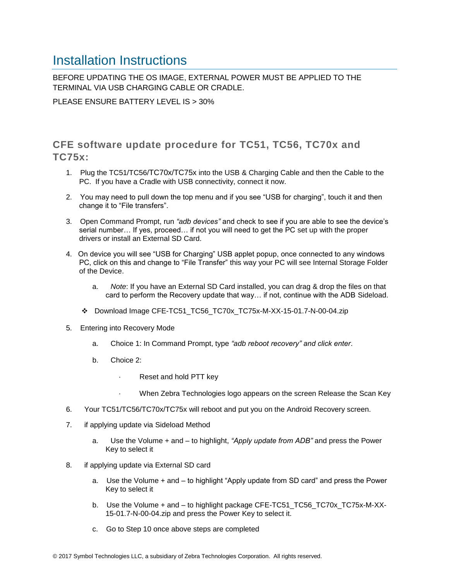#### <span id="page-2-0"></span>Installation Instructions

BEFORE UPDATING THE OS IMAGE, EXTERNAL POWER MUST BE APPLIED TO THE TERMINAL VIA USB CHARGING CABLE OR CRADLE.

PLEASE ENSURE BATTERY LEVEL IS > 30%

CFE software update procedure for TC51, TC56, TC70x and TC75x:

- 1. Plug the TC51/TC56/TC70x/TC75x into the USB & Charging Cable and then the Cable to the PC. If you have a Cradle with USB connectivity, connect it now.
- 2. You may need to pull down the top menu and if you see "USB for charging", touch it and then change it to "File transfers".
- 3. Open Command Prompt, run *"adb devices"* and check to see if you are able to see the device's serial number… If yes, proceed… if not you will need to get the PC set up with the proper drivers or install an External SD Card.
- 4. On device you will see "USB for Charging" USB applet popup, once connected to any windows PC, click on this and change to "File Transfer" this way your PC will see Internal Storage Folder of the Device.
	- a. *Note*: If you have an External SD Card installed, you can drag & drop the files on that card to perform the Recovery update that way… if not, continue with the ADB Sideload.
	- Download Image CFE-TC51\_TC56\_TC70x\_TC75x-M-XX-15-01.7-N-00-04.zip
- 5. Entering into Recovery Mode
	- a. Choice 1: In Command Prompt, type *"adb reboot recovery" and click enter*.
	- b. Choice 2:
		- Reset and hold PTT key
		- When Zebra Technologies logo appears on the screen Release the Scan Key
- 6. Your TC51/TC56/TC70x/TC75x will reboot and put you on the Android Recovery screen.
- 7. if applying update via Sideload Method
	- a. Use the Volume + and to highlight, *"Apply update from ADB"* and press the Power Key to select it
- 8. if applying update via External SD card
	- a. Use the Volume + and to highlight "Apply update from SD card" and press the Power Key to select it
	- b. Use the Volume + and to highlight package CFE-TC51\_TC56\_TC70x\_TC75x-M-XX-15-01.7-N-00-04.zip and press the Power Key to select it.
	- c. Go to Step 10 once above steps are completed